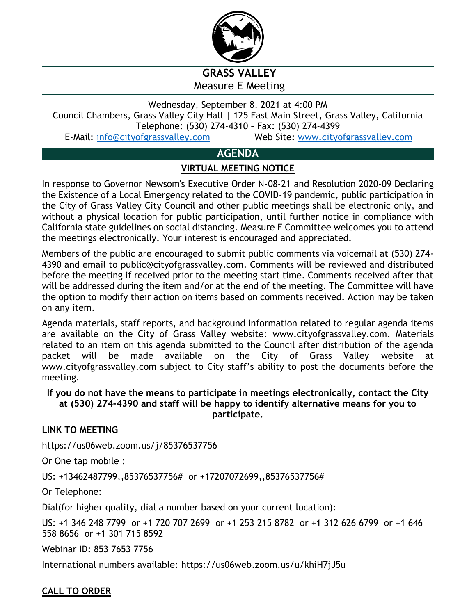

**GRASS VALLEY** Measure E Meeting

Wednesday, September 8, 2021 at 4:00 PM Council Chambers, Grass Valley City Hall | 125 East Main Street, Grass Valley, California Telephone: (530) 274-4310 – Fax: (530) 274-4399 E-Mail: info@cityofgrassvalley.com Web Site: www.cityofgrassvalley.com

# **AGENDA**

## **VIRTUAL MEETING NOTICE**

In response to Governor Newsom's Executive Order N-08-21 and Resolution 2020-09 Declaring the Existence of a Local Emergency related to the COVID-19 pandemic, public participation in the City of Grass Valley City Council and other public meetings shall be electronic only, and without a physical location for public participation, until further notice in compliance with California state guidelines on social distancing. Measure E Committee welcomes you to attend the meetings electronically. Your interest is encouraged and appreciated.

Members of the public are encouraged to submit public comments via voicemail at (530) 274- 4390 and email to public@cityofgrassvalley.com. Comments will be reviewed and distributed before the meeting if received prior to the meeting start time. Comments received after that will be addressed during the item and/or at the end of the meeting. The Committee will have the option to modify their action on items based on comments received. Action may be taken on any item.

Agenda materials, staff reports, and background information related to regular agenda items are available on the City of Grass Valley website: www.cityofgrassvalley.com. Materials related to an item on this agenda submitted to the Council after distribution of the agenda packet will be made available on the City of Grass Valley website at www.cityofgrassvalley.com subject to City staff's ability to post the documents before the meeting.

**If you do not have the means to participate in meetings electronically, contact the City at (530) 274-4390 and staff will be happy to identify alternative means for you to participate.**

**LINK TO MEETING**

https://us06web.zoom.us/j/85376537756

Or One tap mobile :

US: +13462487799,,85376537756# or +17207072699,,85376537756#

Or Telephone:

Dial(for higher quality, dial a number based on your current location):

US: +1 346 248 7799 or +1 720 707 2699 or +1 253 215 8782 or +1 312 626 6799 or +1 646 558 8656 or +1 301 715 8592

Webinar ID: 853 7653 7756

International numbers available: https://us06web.zoom.us/u/khiH7jJ5u

## **CALL TO ORDER**